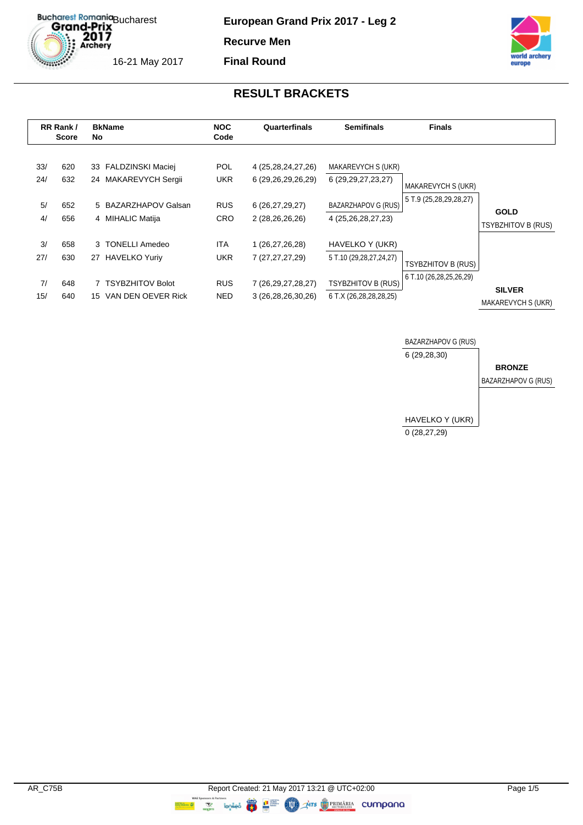Bucharest Romania<br>Grand-Prix<br>2017<br>Archery 16-21 May 2017

**European Grand Prix 2017 - Leg 2**

**Recurve Men**

**Final Round**



| RR Rank/<br><b>Score</b> |                   | No | <b>BkName</b>                                                        | <b>NOC</b><br>Code                     | Quarterfinals                                                   | <b>Semifinals</b>                                                   | <b>Finals</b>                                |                                     |
|--------------------------|-------------------|----|----------------------------------------------------------------------|----------------------------------------|-----------------------------------------------------------------|---------------------------------------------------------------------|----------------------------------------------|-------------------------------------|
| 33/<br>24/<br>5/         | 620<br>632<br>652 |    | 33 FALDZINSKI Maciej<br>24 MAKAREVYCH Sergii<br>5 BAZARZHAPOV Galsan | <b>POL</b><br><b>UKR</b><br><b>RUS</b> | 4 (25, 28, 24, 27, 26)<br>6 (29,26,29,26,29)<br>6 (26,27,29,27) | MAKAREVYCH S (UKR)<br>6 (29, 29, 27, 23, 27)<br>BAZARZHAPOV G (RUS) | MAKAREVYCH S (UKR)<br>5 T.9 (25,28,29,28,27) |                                     |
| 4/                       | 656               |    | 4 MIHALIC Matija                                                     | <b>CRO</b>                             | 2 (28,26,26,26)                                                 | 4 (25,26,28,27,23)                                                  |                                              | <b>GOLD</b><br>TSYBZHITOV B (RUS)   |
| 3/<br>27/                | 658<br>630        | 27 | 3 TONELLI Amedeo<br><b>HAVELKO Yuriy</b>                             | ITA.<br><b>UKR</b>                     | 1 (26,27,26,28)<br>7 (27,27,27,29)                              | HAVELKO Y (UKR)<br>5 T.10 (29,28,27,24,27)                          | <b>TSYBZHITOV B (RUS)</b>                    |                                     |
| 7/<br>15/                | 648<br>640        | 15 | <b>TSYBZHITOV Bolot</b><br>VAN DEN OEVER Rick                        | <b>RUS</b><br>NED.                     | 7 (26, 29, 27, 28, 27)<br>3 (26, 28, 26, 30, 26)                | <b>TSYBZHITOV B (RUS)</b><br>6 T.X (26,28,28,28,25)                 | 6 T.10 (26,28,25,26,29)                      | <b>SILVER</b><br>MAKAREVYCH S (UKR) |

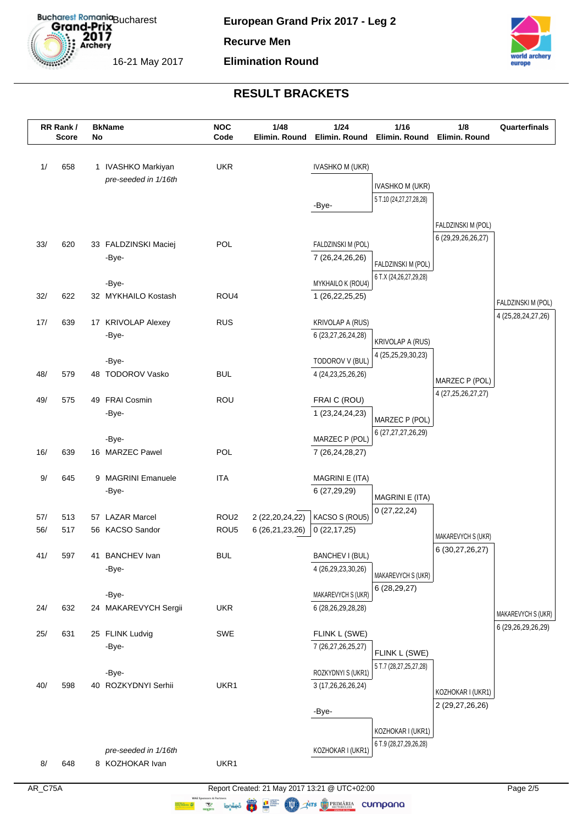

#### **Elimination Round**



|     | RR Rank/<br><b>Score</b> | No | <b>BkName</b>               | <b>NOC</b><br>Code | 1/48<br>Elimin. Round | 1/24<br>Elimin. Round                        | 1/16<br>Elimin. Round                       | 1/8<br>Elimin. Round                     | Quarterfinals                            |
|-----|--------------------------|----|-----------------------------|--------------------|-----------------------|----------------------------------------------|---------------------------------------------|------------------------------------------|------------------------------------------|
| 1/  | 658                      |    | 1 IVASHKO Markiyan          | <b>UKR</b>         |                       | <b>IVASHKO M (UKR)</b>                       |                                             |                                          |                                          |
|     |                          |    | pre-seeded in 1/16th        |                    |                       |                                              | <b>IVASHKO M (UKR)</b>                      |                                          |                                          |
|     |                          |    |                             |                    |                       | -Bye-                                        | 5 T.10 (24,27,27,28,28)                     |                                          |                                          |
|     |                          |    |                             |                    |                       |                                              |                                             |                                          |                                          |
|     |                          |    |                             |                    |                       |                                              |                                             | FALDZINSKI M (POL)<br>6 (29,29,26,26,27) |                                          |
| 33/ | 620                      |    | 33 FALDZINSKI Maciej        | <b>POL</b>         |                       | FALDZINSKI M (POL)                           |                                             |                                          |                                          |
|     |                          |    | -Bye-                       |                    |                       | 7 (26,24,26,26)                              | FALDZINSKI M (POL)                          |                                          |                                          |
|     |                          |    | -Bye-                       |                    |                       | MYKHAILO K (ROU4)                            | 6 T.X (24,26,27,29,28)                      |                                          |                                          |
| 32/ | 622                      |    | 32 MYKHAILO Kostash         | ROU4               |                       | 1 (26, 22, 25, 25)                           |                                             |                                          |                                          |
|     |                          |    |                             |                    |                       |                                              |                                             |                                          | FALDZINSKI M (POL)<br>4 (25,28,24,27,26) |
| 17/ | 639                      |    | 17 KRIVOLAP Alexey          | <b>RUS</b>         |                       | <b>KRIVOLAP A (RUS)</b>                      |                                             |                                          |                                          |
|     |                          |    | -Bye-                       |                    |                       | 6 (23,27,26,24,28)                           | KRIVOLAP A (RUS)                            |                                          |                                          |
|     |                          |    | -Bye-                       |                    |                       | TODOROV V (BUL)                              | 4 (25,25,29,30,23)                          |                                          |                                          |
| 48/ | 579                      |    | 48 TODOROV Vasko            | <b>BUL</b>         |                       | 4 (24, 23, 25, 26, 26)                       |                                             | MARZEC P (POL)                           |                                          |
|     |                          |    |                             |                    |                       |                                              |                                             | 4 (27, 25, 26, 27, 27)                   |                                          |
| 49/ | 575                      |    | 49 FRAI Cosmin              | ROU                |                       | FRAIC (ROU)                                  |                                             |                                          |                                          |
|     |                          |    | -Bye-                       |                    |                       | 1 (23, 24, 24, 23)                           | MARZEC P (POL)                              |                                          |                                          |
|     |                          |    | -Bye-                       |                    |                       | MARZEC P (POL)                               | 6 (27, 27, 27, 26, 29)                      |                                          |                                          |
| 16/ | 639                      |    | 16 MARZEC Pawel             | <b>POL</b>         |                       | 7 (26,24,28,27)                              |                                             |                                          |                                          |
|     |                          |    |                             |                    |                       |                                              |                                             |                                          |                                          |
| 9/  | 645                      |    | 9 MAGRINI Emanuele<br>-Bye- | <b>ITA</b>         |                       | MAGRINI E (ITA)<br>6 (27,29,29)              |                                             |                                          |                                          |
|     |                          |    |                             |                    |                       |                                              | MAGRINI E (ITA)                             |                                          |                                          |
| 57/ | 513                      |    | 57 LAZAR Marcel             | ROU <sub>2</sub>   | 2 (22, 20, 24, 22)    | KACSO S (ROU5)                               | 0(27, 22, 24)                               |                                          |                                          |
| 56/ | 517                      |    | 56 KACSO Sandor             | ROU <sub>5</sub>   | 6 (26,21,23,26)       | 0(22, 17, 25)                                |                                             | MAKAREVYCH S (UKR)                       |                                          |
|     |                          |    |                             | <b>BUL</b>         |                       |                                              |                                             | 6 (30, 27, 26, 27)                       |                                          |
| 41/ | 597                      |    | 41 BANCHEV Ivan<br>-Bye-    |                    |                       | <b>BANCHEV I (BUL)</b><br>4 (26,29,23,30,26) |                                             |                                          |                                          |
|     |                          |    |                             |                    |                       |                                              | MAKAREVYCH S (UKR)                          |                                          |                                          |
|     |                          |    | -Bye-                       |                    |                       | MAKAREVYCH S (UKR)                           | 6 (28,29,27)                                |                                          |                                          |
| 24/ | 632                      |    | 24 MAKAREVYCH Sergii        | <b>UKR</b>         |                       | 6 (28, 26, 29, 28, 28)                       |                                             |                                          | MAKAREVYCH S (UKR)                       |
| 25/ | 631                      |    | 25 FLINK Ludvig             | SWE                |                       | FLINK L (SWE)                                |                                             |                                          | 6 (29,26,29,26,29)                       |
|     |                          |    | -Bye-                       |                    |                       | 7 (26,27,26,25,27)                           |                                             |                                          |                                          |
|     |                          |    |                             |                    |                       |                                              | FLINK L (SWE)                               |                                          |                                          |
|     |                          |    | -Bye-                       |                    |                       | ROZKYDNYI S (UKR1)                           | 5 T.7 (28,27,25,27,28)                      |                                          |                                          |
| 40/ | 598                      |    | 40 ROZKYDNYI Serhii         | UKR1               |                       | 3 (17,26,26,26,24)                           |                                             | KOZHOKAR I (UKR1)                        |                                          |
|     |                          |    |                             |                    |                       | -Bye-                                        |                                             | 2 (29, 27, 26, 26)                       |                                          |
|     |                          |    |                             |                    |                       |                                              |                                             |                                          |                                          |
|     |                          |    |                             |                    |                       |                                              | KOZHOKAR I (UKR1)<br>6 T.9 (28,27,29,26,28) |                                          |                                          |
|     |                          |    | pre-seeded in 1/16th        |                    |                       | KOZHOKAR I (UKR1)                            |                                             |                                          |                                          |
| 8/  | 648                      |    | 8 KOZHOKAR Ivan             | UKR1               |                       |                                              |                                             |                                          |                                          |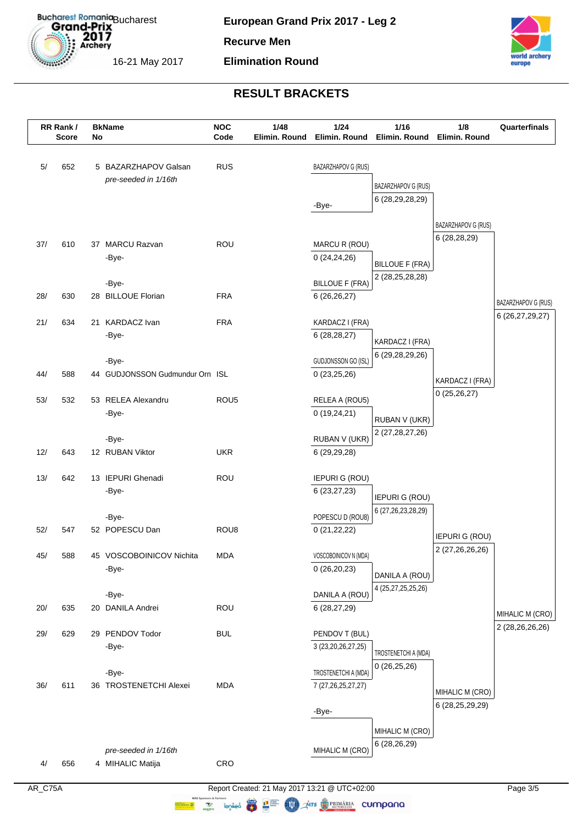

#### **Elimination Round**



# **RESULT BRACKETS**

|     | RR Rank/     |    | <b>BkName</b>                     | <b>NOC</b>       | 1/48          | 1/24                                 | $1/16$                      | 1/8                                | Quarterfinals       |
|-----|--------------|----|-----------------------------------|------------------|---------------|--------------------------------------|-----------------------------|------------------------------------|---------------------|
|     | <b>Score</b> | No |                                   | Code             | Elimin. Round |                                      | Elimin. Round Elimin. Round | Elimin. Round                      |                     |
| 5/  | 652          |    | 5 BAZARZHAPOV Galsan              | <b>RUS</b>       |               | BAZARZHAPOV G (RUS)                  |                             |                                    |                     |
|     |              |    | pre-seeded in 1/16th              |                  |               |                                      | BAZARZHAPOV G (RUS)         |                                    |                     |
|     |              |    |                                   |                  |               | -Bye-                                | 6 (28,29,28,29)             |                                    |                     |
|     |              |    |                                   |                  |               |                                      |                             |                                    |                     |
|     |              |    |                                   |                  |               |                                      |                             | BAZARZHAPOV G (RUS)                |                     |
| 37/ | 610          |    | 37 MARCU Razvan                   | <b>ROU</b>       |               | MARCU R (ROU)                        |                             | 6(28, 28, 29)                      |                     |
|     |              |    | -Bye-                             |                  |               | 0(24,24,26)                          | <b>BILLOUE F (FRA)</b>      |                                    |                     |
|     |              |    |                                   |                  |               |                                      | 2 (28, 25, 28, 28)          |                                    |                     |
| 28/ | 630          |    | -Bye-<br>28 BILLOUE Florian       | <b>FRA</b>       |               | <b>BILLOUE F (FRA)</b>               |                             |                                    |                     |
|     |              |    |                                   |                  |               | 6 (26,26,27)                         |                             |                                    | BAZARZHAPOV G (RUS) |
| 21/ | 634          |    | 21 KARDACZ Ivan                   | <b>FRA</b>       |               | KARDACZ I (FRA)                      |                             |                                    | 6 (26,27,29,27)     |
|     |              |    | -Bye-                             |                  |               | 6 (28,28,27)                         | KARDACZ I (FRA)             |                                    |                     |
|     |              |    |                                   |                  |               |                                      | 6 (29, 28, 29, 26)          |                                    |                     |
|     |              |    | -Bye-                             |                  |               | GUDJONSSON GO (ISL)                  |                             |                                    |                     |
| 44/ | 588          |    | 44 GUDJONSSON Gudmundur Orn ISL   |                  |               | 0(23,25,26)                          |                             | KARDACZ I (FRA)                    |                     |
| 53/ | 532          |    | 53 RELEA Alexandru                | ROU <sub>5</sub> |               | RELEA A (ROU5)                       |                             | 0(25, 26, 27)                      |                     |
|     |              |    | -Bye-                             |                  |               | 0(19,24,21)                          |                             |                                    |                     |
|     |              |    |                                   |                  |               |                                      | RUBAN V (UKR)               |                                    |                     |
|     |              |    | -Bye-                             |                  |               | RUBAN V (UKR)                        | 2 (27,28,27,26)             |                                    |                     |
| 12/ | 643          |    | 12 RUBAN Viktor                   | <b>UKR</b>       |               | 6 (29,29,28)                         |                             |                                    |                     |
| 13/ | 642          |    | 13 IEPURI Ghenadi                 | <b>ROU</b>       |               | <b>IEPURI G (ROU)</b>                |                             |                                    |                     |
|     |              |    | -Bye-                             |                  |               | 6(23, 27, 23)                        |                             |                                    |                     |
|     |              |    |                                   |                  |               |                                      | <b>IEPURI G (ROU)</b>       |                                    |                     |
|     |              |    | -Bye-                             |                  |               | POPESCU D (ROU8)                     | 6 (27, 26, 23, 28, 29)      |                                    |                     |
| 52/ | 547          |    | 52 POPESCU Dan                    | ROU <sub>8</sub> |               | 0(21, 22, 22)                        |                             | <b>IEPURI G (ROU)</b>              |                     |
|     |              |    |                                   |                  |               |                                      |                             | 2 (27,26,26,26)                    |                     |
| 45/ | 588          |    | 45 VOSCOBOINICOV Nichita<br>-Bye- | <b>MDA</b>       |               | VOSCOBOINICOV N (MDA)<br>0(26,20,23) |                             |                                    |                     |
|     |              |    |                                   |                  |               |                                      | DANILA A (ROU)              |                                    |                     |
|     |              |    | -Bye-                             |                  |               | DANILA A (ROU)                       | 4 (25,27,25,25,26)          |                                    |                     |
| 20/ | 635          |    | 20 DANILA Andrei                  | <b>ROU</b>       |               | 6(28, 27, 29)                        |                             |                                    | MIHALIC M (CRO)     |
|     |              |    |                                   |                  |               |                                      |                             |                                    | 2 (28,26,26,26)     |
| 29/ | 629          |    | 29 PENDOV Todor                   | <b>BUL</b>       |               | PENDOV T (BUL)                       |                             |                                    |                     |
|     |              |    | -Bye-                             |                  |               | 3 (23, 20, 26, 27, 25)               | TROSTENETCHI A (MDA)        |                                    |                     |
|     |              |    | -Bye-                             |                  |               | TROSTENETCHI A (MDA)                 | 0(26,25,26)                 |                                    |                     |
| 36/ | 611          |    | 36 TROSTENETCHI Alexei            | <b>MDA</b>       |               | 7 (27, 26, 25, 27, 27)               |                             |                                    |                     |
|     |              |    |                                   |                  |               |                                      |                             | MIHALIC M (CRO)<br>6 (28,25,29,29) |                     |
|     |              |    |                                   |                  |               | -Bye-                                |                             |                                    |                     |
|     |              |    |                                   |                  |               |                                      | MIHALIC M (CRO)             |                                    |                     |
|     |              |    | pre-seeded in 1/16th              |                  |               | MIHALIC M (CRO)                      | 6 (28,26,29)                |                                    |                     |
| 4/  | 656          |    | 4 MIHALIC Matija                  | CRO              |               |                                      |                             |                                    |                     |

AR\_C75A Report Created: 21 May 2017 13:21 @ UTC+02:00

**WALES AND STATISTICS** COMPOUNDED TO THE COMPOUNDED COMPOUNDED TO THE COMPOUNDED COMPOUNDED TO THE COMPOUNDED OF THE COMPOUNDED OF THE COMPOUNDED OF THE COMPOUNDED OF THE COMPOUNDED OF THE COMPOUNDED OF THE COMPOUNDED OF T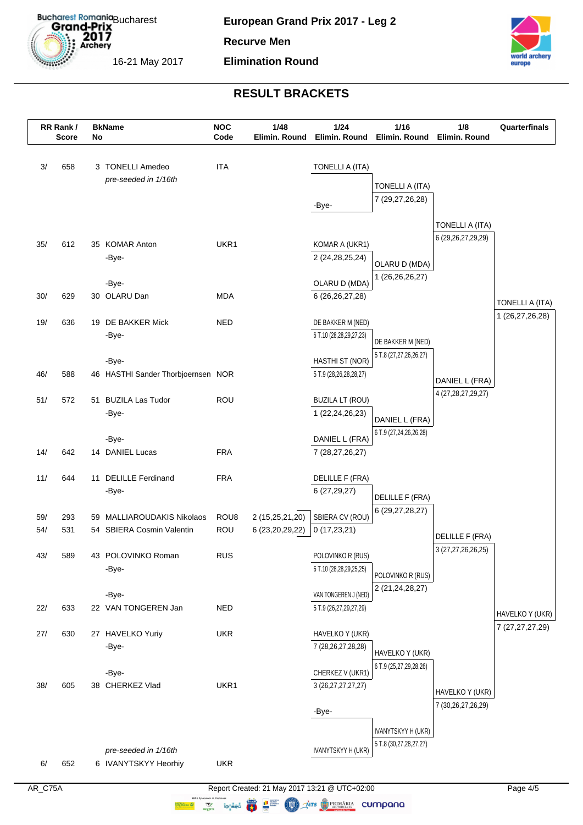

#### **Elimination Round**



|            | RR Rank/<br><b>Score</b> | No | <b>BkName</b>                                        | <b>NOC</b><br>Code | 1/48<br>Elimin. Round                 | $1/24$<br>Elimin. Round                        | $1/16$<br>Elimin. Round | 1/8<br>Elimin. Round   | Quarterfinals   |
|------------|--------------------------|----|------------------------------------------------------|--------------------|---------------------------------------|------------------------------------------------|-------------------------|------------------------|-----------------|
| 3/         | 658                      |    | 3 TONELLI Amedeo                                     | <b>ITA</b>         |                                       | TONELLI A (ITA)                                |                         |                        |                 |
|            |                          |    | pre-seeded in 1/16th                                 |                    |                                       |                                                | TONELLI A (ITA)         |                        |                 |
|            |                          |    |                                                      |                    |                                       |                                                | 7 (29,27,26,28)         |                        |                 |
|            |                          |    |                                                      |                    |                                       | -Bye-                                          |                         |                        |                 |
|            |                          |    |                                                      |                    |                                       |                                                |                         | TONELLI A (ITA)        |                 |
| 35/        | 612                      |    | 35 KOMAR Anton                                       | UKR1               |                                       | KOMAR A (UKR1)                                 |                         | 6 (29, 26, 27, 29, 29) |                 |
|            |                          |    | -Bye-                                                |                    |                                       | 2 (24, 28, 25, 24)                             | OLARU D (MDA)           |                        |                 |
|            |                          |    |                                                      |                    |                                       |                                                | 1 (26,26,26,27)         |                        |                 |
|            |                          |    | -Bye-                                                |                    |                                       | OLARU D (MDA)                                  |                         |                        |                 |
| 30/        | 629                      |    | 30 OLARU Dan                                         | <b>MDA</b>         |                                       | 6 (26,26,27,28)                                |                         |                        | TONELLI A (ITA) |
| 19/        | 636                      |    | 19 DE BAKKER Mick                                    | <b>NED</b>         |                                       | DE BAKKER M (NED)                              |                         |                        | 1 (26,27,26,28) |
|            |                          |    | -Bye-                                                |                    |                                       | 6 T.10 (28,28,29,27,23)                        | DE BAKKER M (NED)       |                        |                 |
|            |                          |    |                                                      |                    |                                       |                                                | 5 T.8 (27,27,26,26,27)  |                        |                 |
|            |                          |    | -Bye-                                                |                    |                                       | HASTHI ST (NOR)                                |                         |                        |                 |
| 46/        | 588                      |    | 46 HASTHI Sander Thorbjoernsen NOR                   |                    |                                       | 5 T.9 (28,26,28,28,27)                         |                         | DANIEL L (FRA)         |                 |
| 51/        | 572                      |    | 51 BUZILA Las Tudor                                  | <b>ROU</b>         |                                       | <b>BUZILA LT (ROU)</b>                         |                         | 4 (27, 28, 27, 29, 27) |                 |
|            |                          |    | -Bye-                                                |                    |                                       | 1 (22, 24, 26, 23)                             | DANIEL L (FRA)          |                        |                 |
|            |                          |    |                                                      |                    |                                       |                                                | 6 T.9 (27,24,26,26,28)  |                        |                 |
|            |                          |    | -Bye-                                                |                    |                                       | DANIEL L (FRA)                                 |                         |                        |                 |
| 14/        | 642                      |    | 14 DANIEL Lucas                                      | <b>FRA</b>         |                                       | 7 (28,27,26,27)                                |                         |                        |                 |
| 11/        | 644                      |    | 11 DELILLE Ferdinand                                 | <b>FRA</b>         |                                       | DELILLE F (FRA)                                |                         |                        |                 |
|            |                          |    | -Bye-                                                |                    |                                       | 6 (27,29,27)                                   | DELILLE F (FRA)         |                        |                 |
|            |                          |    |                                                      |                    |                                       |                                                | 6 (29, 27, 28, 27)      |                        |                 |
| 59/<br>54/ | 293<br>531               | 59 | MALLIAROUDAKIS Nikolaos<br>54 SBIERA Cosmin Valentin | ROU8<br>ROU        | 2 (15,25,21,20)<br>6 (23, 20, 29, 22) | SBIERA CV (ROU)<br>0(17, 23, 21)               |                         |                        |                 |
|            |                          |    |                                                      |                    |                                       |                                                |                         | DELILLE F (FRA)        |                 |
| 43/        | 589                      |    | 43 POLOVINKO Roman                                   | <b>RUS</b>         |                                       | POLOVINKO R (RUS)                              |                         | 3 (27,27,26,26,25)     |                 |
|            |                          |    | -Bye-                                                |                    |                                       | 6 T.10 (28,28,29,25,25)                        | POLOVINKO R (RUS)       |                        |                 |
|            |                          |    |                                                      |                    |                                       |                                                | 2 (21,24,28,27)         |                        |                 |
| 22/        | 633                      |    | -Bye-<br>22 VAN TONGEREN Jan                         | <b>NED</b>         |                                       | VAN TONGEREN J (NED)<br>5 T.9 (26,27,29,27,29) |                         |                        |                 |
|            |                          |    |                                                      |                    |                                       |                                                |                         |                        | HAVELKO Y (UKR) |
| 27/        | 630                      |    | 27 HAVELKO Yuriy                                     | <b>UKR</b>         |                                       | HAVELKO Y (UKR)                                |                         |                        | 7 (27,27,27,29) |
|            |                          |    | -Bye-                                                |                    |                                       | 7 (28, 26, 27, 28, 28)                         | HAVELKO Y (UKR)         |                        |                 |
|            |                          |    |                                                      |                    |                                       |                                                | 6 T.9 (25,27,29,28,26)  |                        |                 |
| 38/        | 605                      |    | -Bye-<br>38 CHERKEZ Vlad                             | UKR1               |                                       | CHERKEZ V (UKR1)                               |                         |                        |                 |
|            |                          |    |                                                      |                    |                                       | 3 (26, 27, 27, 27, 27)                         |                         | HAVELKO Y (UKR)        |                 |
|            |                          |    |                                                      |                    |                                       | -Bye-                                          |                         | 7 (30,26,27,26,29)     |                 |
|            |                          |    |                                                      |                    |                                       |                                                | IVANYTSKYY H (UKR)      |                        |                 |
|            |                          |    |                                                      |                    |                                       |                                                | 5 T.8 (30,27,28,27,27)  |                        |                 |
|            |                          |    | pre-seeded in 1/16th                                 |                    |                                       | IVANYTSKYY H (UKR)                             |                         |                        |                 |
| 6/         | 652                      |    | 6 IVANYTSKYY Heorhiy                                 | <b>UKR</b>         |                                       |                                                |                         |                        |                 |